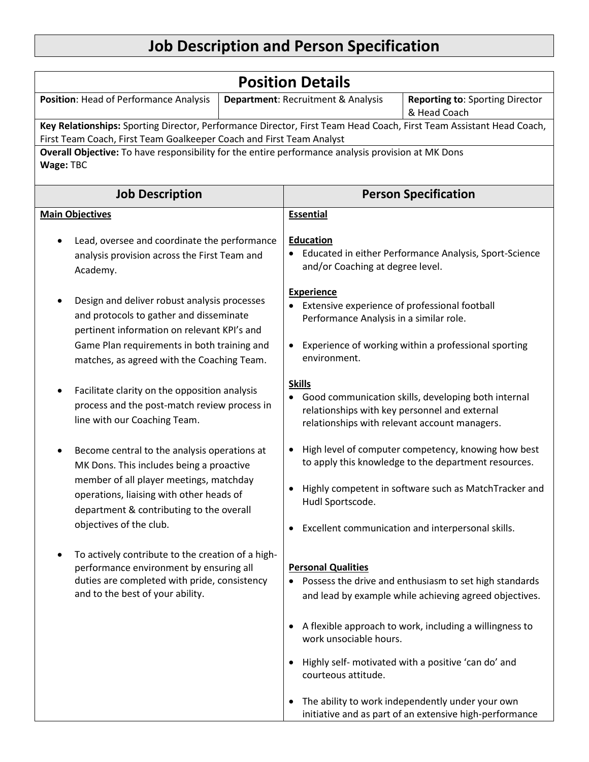## **Job Description and Person Specification**

| <b>Position Details</b>                                                                                                                                                                                                                                |  |                                                                                                                                                                       |                                                                                                                                                                                                                                                                                                                                                     |  |
|--------------------------------------------------------------------------------------------------------------------------------------------------------------------------------------------------------------------------------------------------------|--|-----------------------------------------------------------------------------------------------------------------------------------------------------------------------|-----------------------------------------------------------------------------------------------------------------------------------------------------------------------------------------------------------------------------------------------------------------------------------------------------------------------------------------------------|--|
| Position: Head of Performance Analysis                                                                                                                                                                                                                 |  | Department: Recruitment & Analysis                                                                                                                                    | <b>Reporting to: Sporting Director</b><br>& Head Coach                                                                                                                                                                                                                                                                                              |  |
| Key Relationships: Sporting Director, Performance Director, First Team Head Coach, First Team Assistant Head Coach,<br>First Team Coach, First Team Goalkeeper Coach and First Team Analyst                                                            |  |                                                                                                                                                                       |                                                                                                                                                                                                                                                                                                                                                     |  |
| Overall Objective: To have responsibility for the entire performance analysis provision at MK Dons                                                                                                                                                     |  |                                                                                                                                                                       |                                                                                                                                                                                                                                                                                                                                                     |  |
| Wage: TBC                                                                                                                                                                                                                                              |  |                                                                                                                                                                       |                                                                                                                                                                                                                                                                                                                                                     |  |
| <b>Job Description</b>                                                                                                                                                                                                                                 |  | <b>Person Specification</b>                                                                                                                                           |                                                                                                                                                                                                                                                                                                                                                     |  |
| <b>Main Objectives</b>                                                                                                                                                                                                                                 |  | <b>Essential</b>                                                                                                                                                      |                                                                                                                                                                                                                                                                                                                                                     |  |
| Lead, oversee and coordinate the performance<br>analysis provision across the First Team and<br>Academy.                                                                                                                                               |  | <b>Education</b><br>Educated in either Performance Analysis, Sport-Science<br>and/or Coaching at degree level.                                                        |                                                                                                                                                                                                                                                                                                                                                     |  |
| Design and deliver robust analysis processes<br>and protocols to gather and disseminate<br>pertinent information on relevant KPI's and<br>Game Plan requirements in both training and                                                                  |  | <b>Experience</b><br>Extensive experience of professional football<br>Performance Analysis in a similar role.<br>Experience of working within a professional sporting |                                                                                                                                                                                                                                                                                                                                                     |  |
| matches, as agreed with the Coaching Team.<br>Facilitate clarity on the opposition analysis<br>process and the post-match review process in<br>line with our Coaching Team.                                                                            |  | environment.<br><b>Skills</b><br>relationships with key personnel and external                                                                                        | Good communication skills, developing both internal<br>relationships with relevant account managers.                                                                                                                                                                                                                                                |  |
| Become central to the analysis operations at<br>MK Dons. This includes being a proactive<br>member of all player meetings, matchday<br>operations, liaising with other heads of<br>department & contributing to the overall<br>objectives of the club. |  | Hudl Sportscode.<br>$\bullet$                                                                                                                                         | High level of computer competency, knowing how best<br>to apply this knowledge to the department resources.<br>Highly competent in software such as MatchTracker and<br>Excellent communication and interpersonal skills.                                                                                                                           |  |
| To actively contribute to the creation of a high-<br>performance environment by ensuring all<br>duties are completed with pride, consistency<br>and to the best of your ability.                                                                       |  | <b>Personal Qualities</b><br>$\bullet$<br>work unsociable hours.<br>courteous attitude.                                                                               | • Possess the drive and enthusiasm to set high standards<br>and lead by example while achieving agreed objectives.<br>A flexible approach to work, including a willingness to<br>Highly self- motivated with a positive 'can do' and<br>The ability to work independently under your own<br>initiative and as part of an extensive high-performance |  |